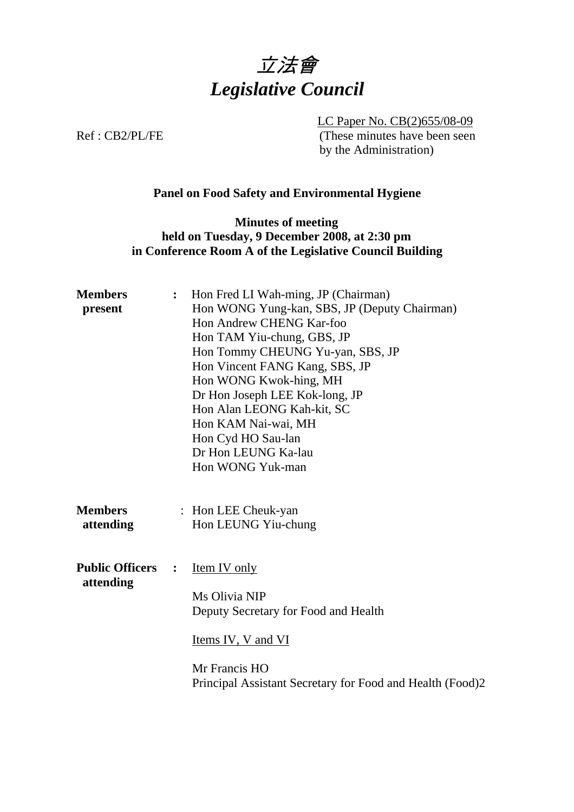

LC Paper No. CB(2)655/08-09 Ref : CB2/PL/FE (These minutes have been seen by the Administration)

## **Panel on Food Safety and Environmental Hygiene**

**Minutes of meeting held on Tuesday, 9 December 2008, at 2:30 pm in Conference Room A of the Legislative Council Building** 

| <b>Members</b><br>present           | $\ddot{\cdot}$ | Hon Fred LI Wah-ming, JP (Chairman)<br>Hon WONG Yung-kan, SBS, JP (Deputy Chairman)<br>Hon Andrew CHENG Kar-foo<br>Hon TAM Yiu-chung, GBS, JP<br>Hon Tommy CHEUNG Yu-yan, SBS, JP<br>Hon Vincent FANG Kang, SBS, JP<br>Hon WONG Kwok-hing, MH<br>Dr Hon Joseph LEE Kok-long, JP<br>Hon Alan LEONG Kah-kit, SC<br>Hon KAM Nai-wai, MH<br>Hon Cyd HO Sau-lan<br>Dr Hon LEUNG Ka-lau<br>Hon WONG Yuk-man |
|-------------------------------------|----------------|-------------------------------------------------------------------------------------------------------------------------------------------------------------------------------------------------------------------------------------------------------------------------------------------------------------------------------------------------------------------------------------------------------|
| <b>Members</b><br>attending         |                | : Hon LEE Cheuk-yan<br>Hon LEUNG Yiu-chung                                                                                                                                                                                                                                                                                                                                                            |
| <b>Public Officers</b><br>attending | $\ddot{\cdot}$ | Item IV only<br>Ms Olivia NIP<br>Deputy Secretary for Food and Health<br>Items IV, V and VI<br>Mr Francis HO<br>Principal Assistant Secretary for Food and Health (Food)2                                                                                                                                                                                                                             |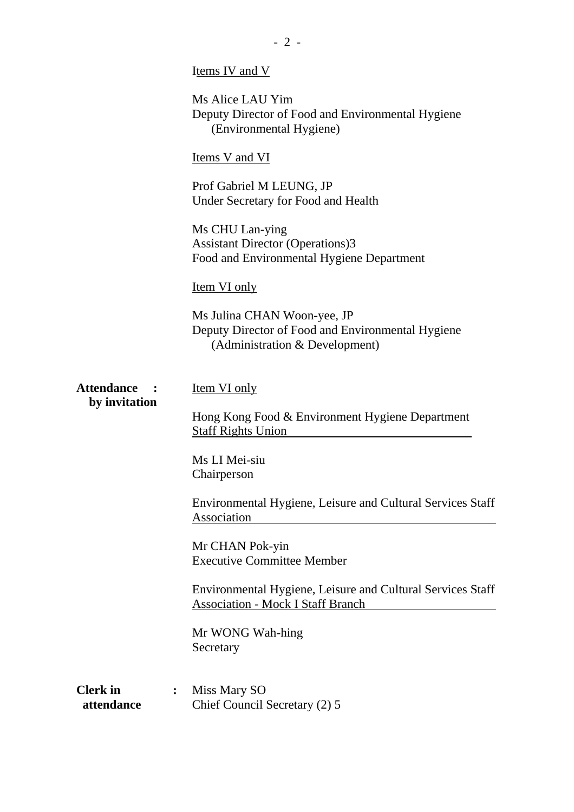|                                    | Items IV and V                                                                                                     |  |  |
|------------------------------------|--------------------------------------------------------------------------------------------------------------------|--|--|
|                                    | Ms Alice LAU Yim<br>Deputy Director of Food and Environmental Hygiene<br>(Environmental Hygiene)                   |  |  |
|                                    | <b>Items V and VI</b>                                                                                              |  |  |
|                                    | Prof Gabriel M LEUNG, JP<br>Under Secretary for Food and Health                                                    |  |  |
|                                    | Ms CHU Lan-ying<br><b>Assistant Director (Operations)3</b><br>Food and Environmental Hygiene Department            |  |  |
|                                    | <u>Item VI only</u>                                                                                                |  |  |
|                                    | Ms Julina CHAN Woon-yee, JP<br>Deputy Director of Food and Environmental Hygiene<br>(Administration & Development) |  |  |
| <b>Attendance</b><br>by invitation | <b>Item VI only</b><br>Hong Kong Food & Environment Hygiene Department<br><b>Staff Rights Union</b>                |  |  |
|                                    | Ms LI Mei-siu<br>Chairperson                                                                                       |  |  |
|                                    | Environmental Hygiene, Leisure and Cultural Services Staff<br>Association                                          |  |  |
|                                    | Mr CHAN Pok-yin<br><b>Executive Committee Member</b>                                                               |  |  |
|                                    | Environmental Hygiene, Leisure and Cultural Services Staff<br><b>Association - Mock I Staff Branch</b>             |  |  |
|                                    | Mr WONG Wah-hing<br>Secretary                                                                                      |  |  |
| <b>Clerk</b> in<br>attendance      | Miss Mary SO<br>$\ddot{\cdot}$<br>Chief Council Secretary (2) 5                                                    |  |  |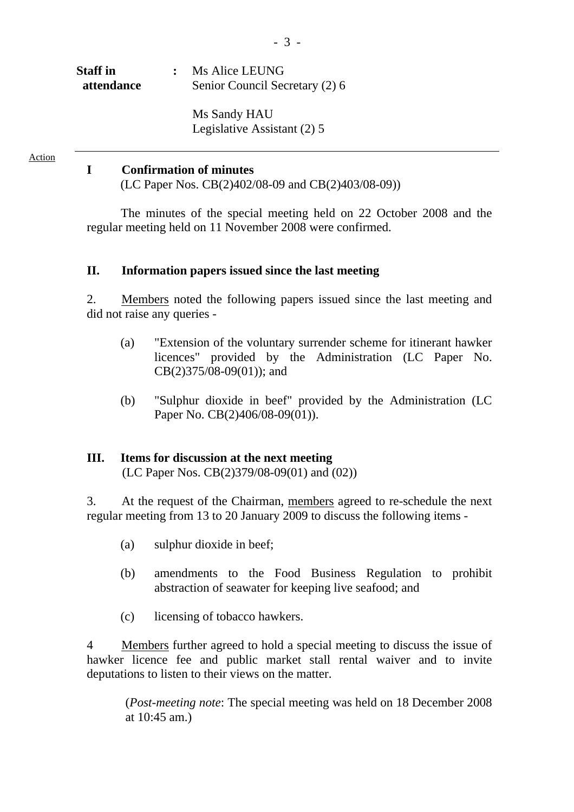| <b>Staff</b> in | : Ms Alice LEUNG               |
|-----------------|--------------------------------|
| attendance      | Senior Council Secretary (2) 6 |
|                 |                                |

Ms Sandy HAU Legislative Assistant (2) 5

Action

#### **I Confirmation of minutes**

(LC Paper Nos. CB(2)402/08-09 and CB(2)403/08-09))

The minutes of the special meeting held on 22 October 2008 and the regular meeting held on 11 November 2008 were confirmed.

#### **II. Information papers issued since the last meeting**

2. Members noted the following papers issued since the last meeting and did not raise any queries -

- (a) "Extension of the voluntary surrender scheme for itinerant hawker licences" provided by the Administration (LC Paper No. CB(2)375/08-09(01)); and
- (b) "Sulphur dioxide in beef" provided by the Administration (LC Paper No. CB(2)406/08-09(01)).

## **III. Items for discussion at the next meeting**

(LC Paper Nos. CB(2)379/08-09(01) and (02))

3. At the request of the Chairman, members agreed to re-schedule the next regular meeting from 13 to 20 January 2009 to discuss the following items -

- (a) sulphur dioxide in beef;
- (b) amendments to the Food Business Regulation to prohibit abstraction of seawater for keeping live seafood; and
- (c) licensing of tobacco hawkers.

4 Members further agreed to hold a special meeting to discuss the issue of hawker licence fee and public market stall rental waiver and to invite deputations to listen to their views on the matter.

(*Post-meeting note*: The special meeting was held on 18 December 2008 at 10:45 am.)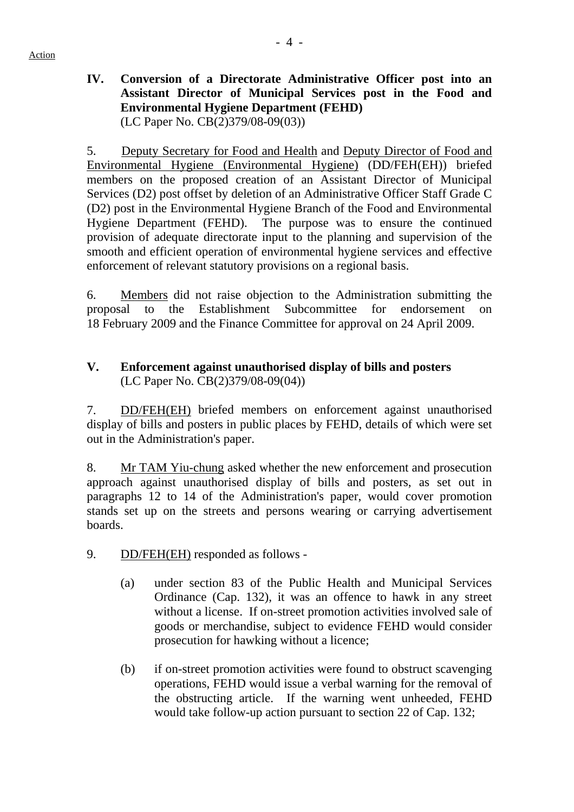**IV. Conversion of a Directorate Administrative Officer post into an Assistant Director of Municipal Services post in the Food and Environmental Hygiene Department (FEHD)**  (LC Paper No. CB(2)379/08-09(03))

5. Deputy Secretary for Food and Health and Deputy Director of Food and Environmental Hygiene (Environmental Hygiene) (DD/FEH(EH)) briefed members on the proposed creation of an Assistant Director of Municipal Services (D2) post offset by deletion of an Administrative Officer Staff Grade C (D2) post in the Environmental Hygiene Branch of the Food and Environmental Hygiene Department (FEHD). The purpose was to ensure the continued provision of adequate directorate input to the planning and supervision of the smooth and efficient operation of environmental hygiene services and effective enforcement of relevant statutory provisions on a regional basis.

6. Members did not raise objection to the Administration submitting the proposal to the Establishment Subcommittee for endorsement on 18 February 2009 and the Finance Committee for approval on 24 April 2009.

# **V. Enforcement against unauthorised display of bills and posters**  (LC Paper No. CB(2)379/08-09(04))

7. DD/FEH(EH) briefed members on enforcement against unauthorised display of bills and posters in public places by FEHD, details of which were set out in the Administration's paper.

8. Mr TAM Yiu-chung asked whether the new enforcement and prosecution approach against unauthorised display of bills and posters, as set out in paragraphs 12 to 14 of the Administration's paper, would cover promotion stands set up on the streets and persons wearing or carrying advertisement boards.

9. DD/FEH(EH) responded as follows -

- (a) under section 83 of the Public Health and Municipal Services Ordinance (Cap. 132), it was an offence to hawk in any street without a license. If on-street promotion activities involved sale of goods or merchandise, subject to evidence FEHD would consider prosecution for hawking without a licence;
- (b) if on-street promotion activities were found to obstruct scavenging operations, FEHD would issue a verbal warning for the removal of the obstructing article. If the warning went unheeded, FEHD would take follow-up action pursuant to section 22 of Cap. 132;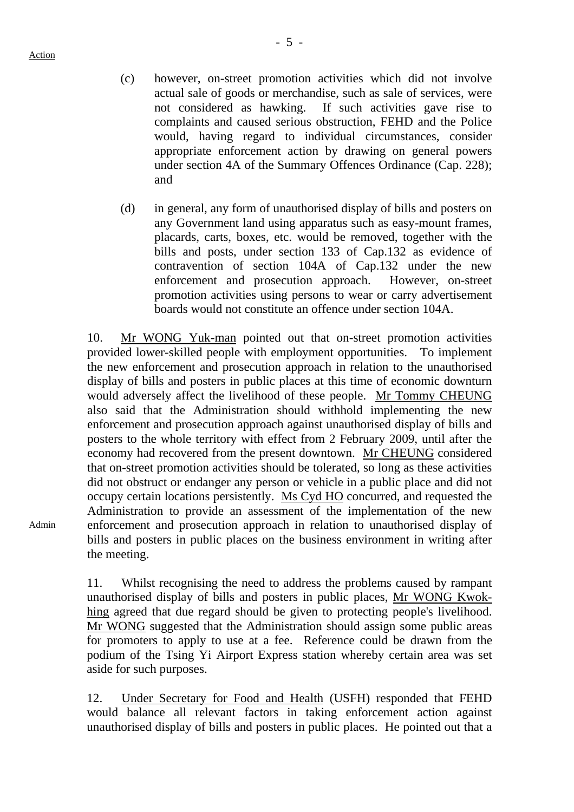Action

- (c) however, on-street promotion activities which did not involve actual sale of goods or merchandise, such as sale of services, were not considered as hawking. If such activities gave rise to complaints and caused serious obstruction, FEHD and the Police would, having regard to individual circumstances, consider appropriate enforcement action by drawing on general powers under section 4A of the Summary Offences Ordinance (Cap. 228); and
- (d) in general, any form of unauthorised display of bills and posters on any Government land using apparatus such as easy-mount frames, placards, carts, boxes, etc. would be removed, together with the bills and posts, under section 133 of Cap.132 as evidence of contravention of section 104A of Cap.132 under the new enforcement and prosecution approach. However, on-street promotion activities using persons to wear or carry advertisement boards would not constitute an offence under section 104A.

10. Mr WONG Yuk-man pointed out that on-street promotion activities provided lower-skilled people with employment opportunities. To implement the new enforcement and prosecution approach in relation to the unauthorised display of bills and posters in public places at this time of economic downturn would adversely affect the livelihood of these people. Mr Tommy CHEUNG also said that the Administration should withhold implementing the new enforcement and prosecution approach against unauthorised display of bills and posters to the whole territory with effect from 2 February 2009, until after the economy had recovered from the present downtown. Mr CHEUNG considered that on-street promotion activities should be tolerated, so long as these activities did not obstruct or endanger any person or vehicle in a public place and did not occupy certain locations persistently. Ms Cyd HO concurred, and requested the Administration to provide an assessment of the implementation of the new enforcement and prosecution approach in relation to unauthorised display of bills and posters in public places on the business environment in writing after the meeting.

Admin

11. Whilst recognising the need to address the problems caused by rampant unauthorised display of bills and posters in public places, Mr WONG Kwokhing agreed that due regard should be given to protecting people's livelihood. Mr WONG suggested that the Administration should assign some public areas for promoters to apply to use at a fee. Reference could be drawn from the podium of the Tsing Yi Airport Express station whereby certain area was set aside for such purposes.

12. Under Secretary for Food and Health (USFH) responded that FEHD would balance all relevant factors in taking enforcement action against unauthorised display of bills and posters in public places. He pointed out that a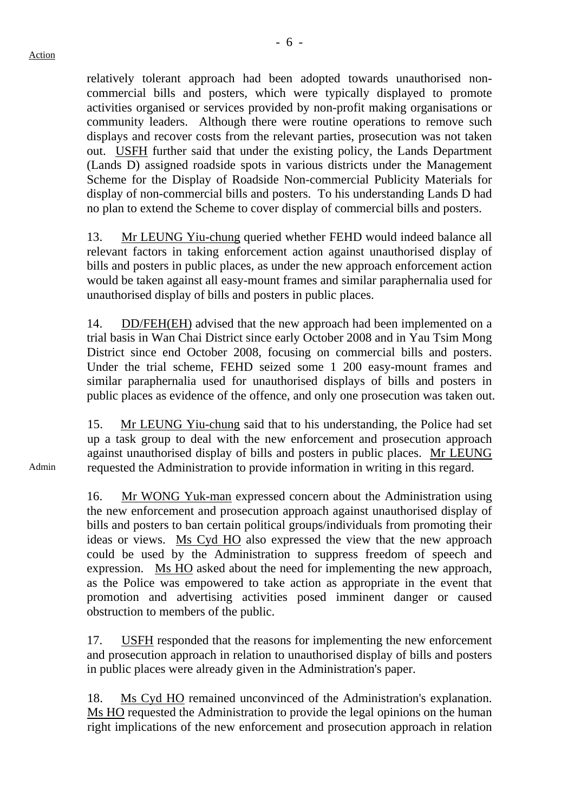relatively tolerant approach had been adopted towards unauthorised noncommercial bills and posters, which were typically displayed to promote activities organised or services provided by non-profit making organisations or community leaders. Although there were routine operations to remove such displays and recover costs from the relevant parties, prosecution was not taken out. USFH further said that under the existing policy, the Lands Department (Lands D) assigned roadside spots in various districts under the Management Scheme for the Display of Roadside Non-commercial Publicity Materials for display of non-commercial bills and posters. To his understanding Lands D had no plan to extend the Scheme to cover display of commercial bills and posters.

13. Mr LEUNG Yiu-chung queried whether FEHD would indeed balance all relevant factors in taking enforcement action against unauthorised display of bills and posters in public places, as under the new approach enforcement action would be taken against all easy-mount frames and similar paraphernalia used for unauthorised display of bills and posters in public places.

14. DD/FEH(EH) advised that the new approach had been implemented on a trial basis in Wan Chai District since early October 2008 and in Yau Tsim Mong District since end October 2008, focusing on commercial bills and posters. Under the trial scheme, FEHD seized some 1 200 easy-mount frames and similar paraphernalia used for unauthorised displays of bills and posters in public places as evidence of the offence, and only one prosecution was taken out.

15. Mr LEUNG Yiu-chung said that to his understanding, the Police had set up a task group to deal with the new enforcement and prosecution approach against unauthorised display of bills and posters in public places. Mr LEUNG requested the Administration to provide information in writing in this regard.

16. Mr WONG Yuk-man expressed concern about the Administration using the new enforcement and prosecution approach against unauthorised display of bills and posters to ban certain political groups/individuals from promoting their ideas or views. Ms Cyd HO also expressed the view that the new approach could be used by the Administration to suppress freedom of speech and expression. Ms HO asked about the need for implementing the new approach, as the Police was empowered to take action as appropriate in the event that promotion and advertising activities posed imminent danger or caused obstruction to members of the public.

17. USFH responded that the reasons for implementing the new enforcement and prosecution approach in relation to unauthorised display of bills and posters in public places were already given in the Administration's paper.

18. Ms Cyd HO remained unconvinced of the Administration's explanation. Ms HO requested the Administration to provide the legal opinions on the human right implications of the new enforcement and prosecution approach in relation

Admin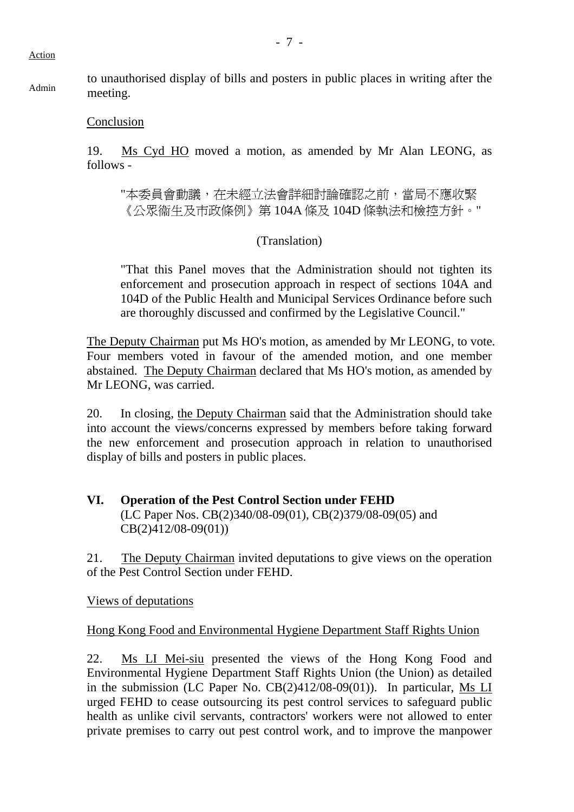Action

Admin to unauthorised display of bills and posters in public places in writing after the meeting.

#### Conclusion

19. Ms Cyd HO moved a motion, as amended by Mr Alan LEONG, as follows -

"本委員會動議,在未經立法會詳細討論確認之前,當局不應收緊 《公眾衞生及市政條例》第 104A 條及 104D 條執法和檢控方針。"

#### (Translation)

"That this Panel moves that the Administration should not tighten its enforcement and prosecution approach in respect of sections 104A and 104D of the Public Health and Municipal Services Ordinance before such are thoroughly discussed and confirmed by the Legislative Council."

The Deputy Chairman put Ms HO's motion, as amended by Mr LEONG, to vote. Four members voted in favour of the amended motion, and one member abstained. The Deputy Chairman declared that Ms HO's motion, as amended by Mr LEONG, was carried.

20. In closing, the Deputy Chairman said that the Administration should take into account the views/concerns expressed by members before taking forward the new enforcement and prosecution approach in relation to unauthorised display of bills and posters in public places.

### **VI. Operation of the Pest Control Section under FEHD**  (LC Paper Nos. CB(2)340/08-09(01), CB(2)379/08-09(05) and CB(2)412/08-09(01))

21. The Deputy Chairman invited deputations to give views on the operation of the Pest Control Section under FEHD.

Views of deputations

#### Hong Kong Food and Environmental Hygiene Department Staff Rights Union

22. Ms LI Mei-siu presented the views of the Hong Kong Food and Environmental Hygiene Department Staff Rights Union (the Union) as detailed in the submission (LC Paper No. CB(2)412/08-09(01)). In particular, Ms LI urged FEHD to cease outsourcing its pest control services to safeguard public health as unlike civil servants, contractors' workers were not allowed to enter private premises to carry out pest control work, and to improve the manpower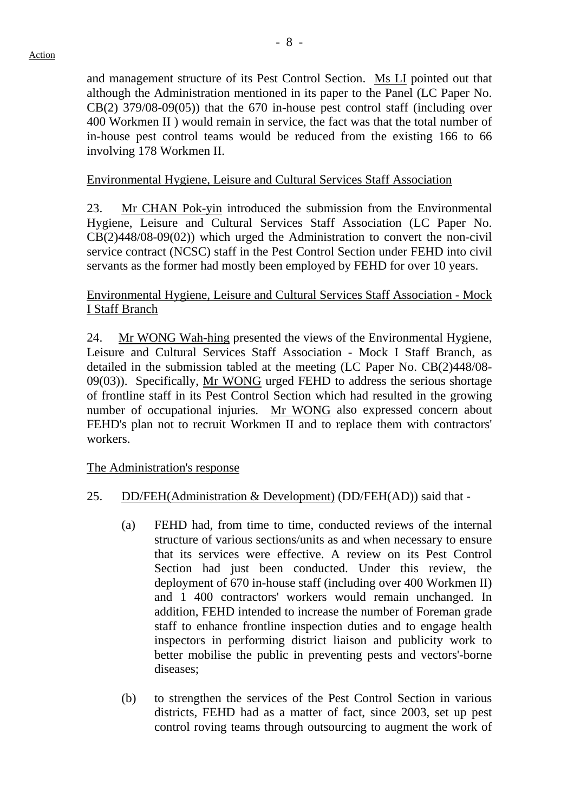and management structure of its Pest Control Section. Ms LI pointed out that although the Administration mentioned in its paper to the Panel (LC Paper No.  $CB(2)$  379/08-09(05)) that the 670 in-house pest control staff (including over 400 Workmen II ) would remain in service, the fact was that the total number of in-house pest control teams would be reduced from the existing 166 to 66 involving 178 Workmen II.

## Environmental Hygiene, Leisure and Cultural Services Staff Association

23. Mr CHAN Pok-yin introduced the submission from the Environmental Hygiene, Leisure and Cultural Services Staff Association (LC Paper No. CB(2)448/08-09(02)) which urged the Administration to convert the non-civil service contract (NCSC) staff in the Pest Control Section under FEHD into civil servants as the former had mostly been employed by FEHD for over 10 years.

## Environmental Hygiene, Leisure and Cultural Services Staff Association - Mock I Staff Branch

24. Mr WONG Wah-hing presented the views of the Environmental Hygiene, Leisure and Cultural Services Staff Association - Mock I Staff Branch, as detailed in the submission tabled at the meeting (LC Paper No. CB(2)448/08- 09(03)). Specifically, Mr WONG urged FEHD to address the serious shortage of frontline staff in its Pest Control Section which had resulted in the growing number of occupational injuries. Mr WONG also expressed concern about FEHD's plan not to recruit Workmen II and to replace them with contractors' workers.

The Administration's response

- 25. DD/FEH(Administration & Development) (DD/FEH(AD)) said that
	- (a) FEHD had, from time to time, conducted reviews of the internal structure of various sections/units as and when necessary to ensure that its services were effective. A review on its Pest Control Section had just been conducted. Under this review, the deployment of 670 in-house staff (including over 400 Workmen II) and 1 400 contractors' workers would remain unchanged. In addition, FEHD intended to increase the number of Foreman grade staff to enhance frontline inspection duties and to engage health inspectors in performing district liaison and publicity work to better mobilise the public in preventing pests and vectors'-borne diseases;
	- (b) to strengthen the services of the Pest Control Section in various districts, FEHD had as a matter of fact, since 2003, set up pest control roving teams through outsourcing to augment the work of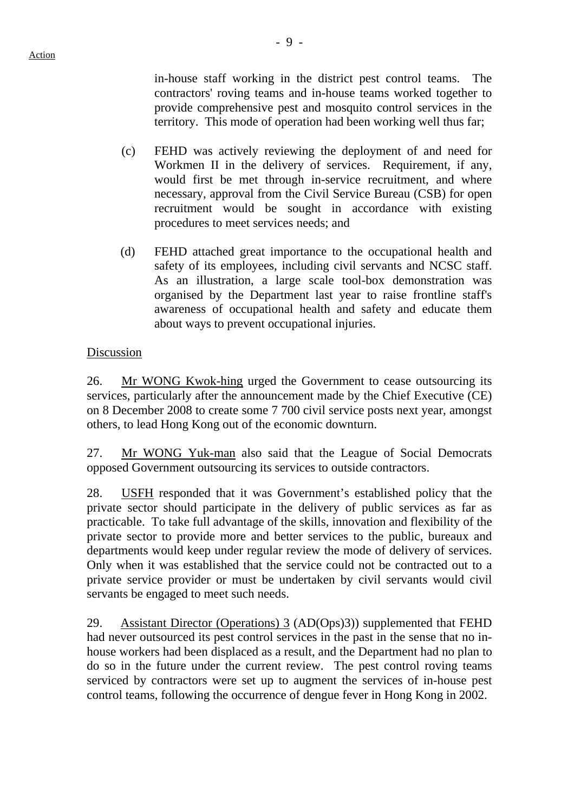in-house staff working in the district pest control teams. The contractors' roving teams and in-house teams worked together to provide comprehensive pest and mosquito control services in the territory. This mode of operation had been working well thus far;

- (c) FEHD was actively reviewing the deployment of and need for Workmen II in the delivery of services. Requirement, if any, would first be met through in-service recruitment, and where necessary, approval from the Civil Service Bureau (CSB) for open recruitment would be sought in accordance with existing procedures to meet services needs; and
- (d) FEHD attached great importance to the occupational health and safety of its employees, including civil servants and NCSC staff. As an illustration, a large scale tool-box demonstration was organised by the Department last year to raise frontline staff's awareness of occupational health and safety and educate them about ways to prevent occupational injuries.

#### Discussion

26. Mr WONG Kwok-hing urged the Government to cease outsourcing its services, particularly after the announcement made by the Chief Executive (CE) on 8 December 2008 to create some 7 700 civil service posts next year, amongst others, to lead Hong Kong out of the economic downturn.

27. Mr WONG Yuk-man also said that the League of Social Democrats opposed Government outsourcing its services to outside contractors.

28. USFH responded that it was Government's established policy that the private sector should participate in the delivery of public services as far as practicable. To take full advantage of the skills, innovation and flexibility of the private sector to provide more and better services to the public, bureaux and departments would keep under regular review the mode of delivery of services. Only when it was established that the service could not be contracted out to a private service provider or must be undertaken by civil servants would civil servants be engaged to meet such needs.

29. Assistant Director (Operations) 3 (AD(Ops)3)) supplemented that FEHD had never outsourced its pest control services in the past in the sense that no inhouse workers had been displaced as a result, and the Department had no plan to do so in the future under the current review. The pest control roving teams serviced by contractors were set up to augment the services of in-house pest control teams, following the occurrence of dengue fever in Hong Kong in 2002.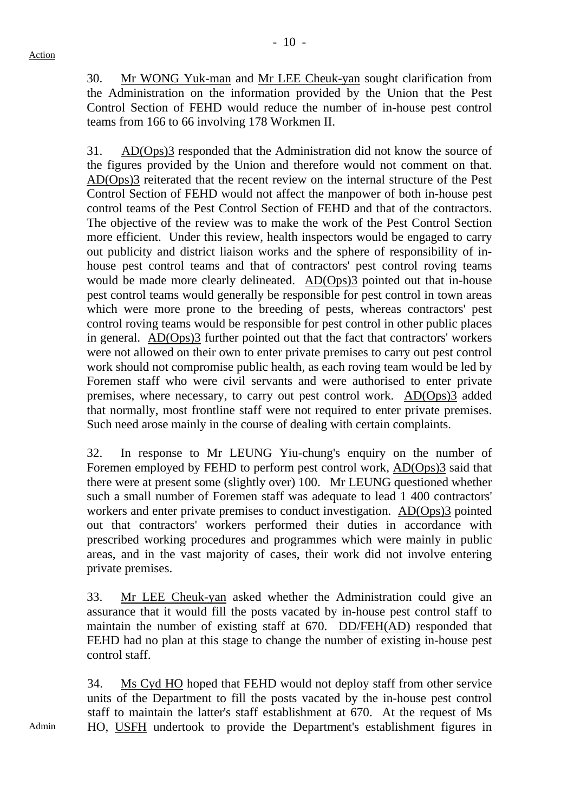30. Mr WONG Yuk-man and Mr LEE Cheuk-yan sought clarification from the Administration on the information provided by the Union that the Pest Control Section of FEHD would reduce the number of in-house pest control teams from 166 to 66 involving 178 Workmen II.

31. AD(Ops)3 responded that the Administration did not know the source of the figures provided by the Union and therefore would not comment on that. AD(Ops)3 reiterated that the recent review on the internal structure of the Pest Control Section of FEHD would not affect the manpower of both in-house pest control teams of the Pest Control Section of FEHD and that of the contractors. The objective of the review was to make the work of the Pest Control Section more efficient. Under this review, health inspectors would be engaged to carry out publicity and district liaison works and the sphere of responsibility of inhouse pest control teams and that of contractors' pest control roving teams would be made more clearly delineated. AD(Ops)3 pointed out that in-house pest control teams would generally be responsible for pest control in town areas which were more prone to the breeding of pests, whereas contractors' pest control roving teams would be responsible for pest control in other public places in general.  $AD(Ops)3$  further pointed out that the fact that contractors' workers were not allowed on their own to enter private premises to carry out pest control work should not compromise public health, as each roving team would be led by Foremen staff who were civil servants and were authorised to enter private premises, where necessary, to carry out pest control work. AD(Ops)3 added that normally, most frontline staff were not required to enter private premises. Such need arose mainly in the course of dealing with certain complaints.

32. In response to Mr LEUNG Yiu-chung's enquiry on the number of Foremen employed by FEHD to perform pest control work, AD(Ops)3 said that there were at present some (slightly over) 100. Mr LEUNG questioned whether such a small number of Foremen staff was adequate to lead 1 400 contractors' workers and enter private premises to conduct investigation. AD(Ops)3 pointed out that contractors' workers performed their duties in accordance with prescribed working procedures and programmes which were mainly in public areas, and in the vast majority of cases, their work did not involve entering private premises.

33. Mr LEE Cheuk-yan asked whether the Administration could give an assurance that it would fill the posts vacated by in-house pest control staff to maintain the number of existing staff at 670. DD/FEH(AD) responded that FEHD had no plan at this stage to change the number of existing in-house pest control staff.

34. Ms Cyd HO hoped that FEHD would not deploy staff from other service units of the Department to fill the posts vacated by the in-house pest control staff to maintain the latter's staff establishment at 670. At the request of Ms HO, USFH undertook to provide the Department's establishment figures in

Admin